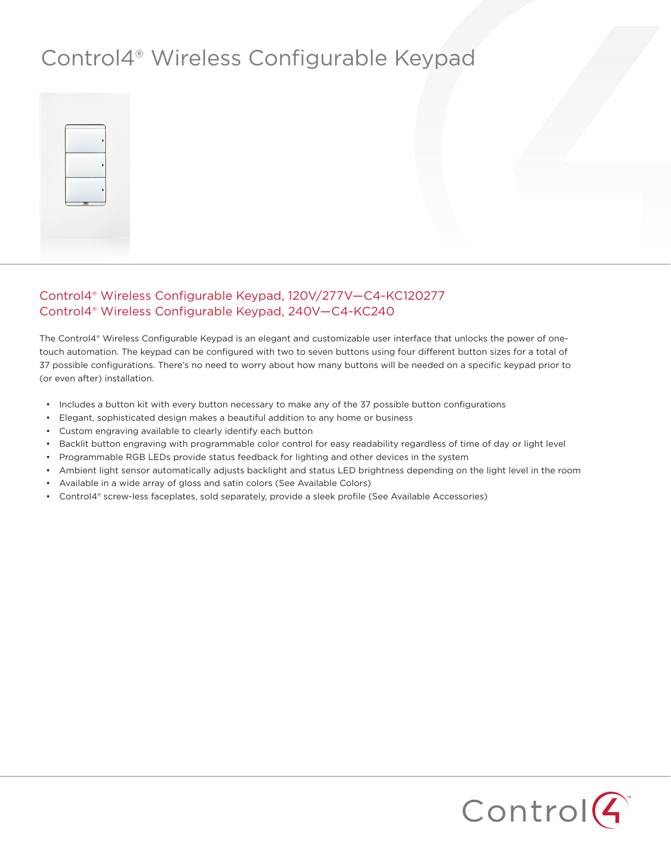## Control4® Wireless Configurable Keypad



## Control4® Wireless Configurable Keypad, 120V/277V—C4-KC120277 Control4® Wireless Configurable Keypad, 240V—C4-KC240

The Control4® Wireless Configurable Keypad is an elegant and customizable user interface that unlocks the power of onetouch automation. The keypad can be configured with two to seven buttons using four different button sizes for a total of 37 possible configurations. There's no need to worry about how many buttons will be needed on a specific keypad prior to (or even after) installation.

- • Includes a button kit with every button necessary to make any of the 37 possible button configurations
- • Elegant, sophisticated design makes a beautiful addition to any home or business
- • Custom engraving available to clearly identify each button
- • Backlit button engraving with programmable color control for easy readability regardless of time of day or light level
- Programmable RGB LEDs provide status feedback for lighting and other devices in the system
- • Ambient light sensor automatically adjusts backlight and status LED brightness depending on the light level in the room
- • Available in a wide array of gloss and satin colors (See Available Colors)
- • Control4® screw-less faceplates, sold separately, provide a sleek profile (See Available Accessories)